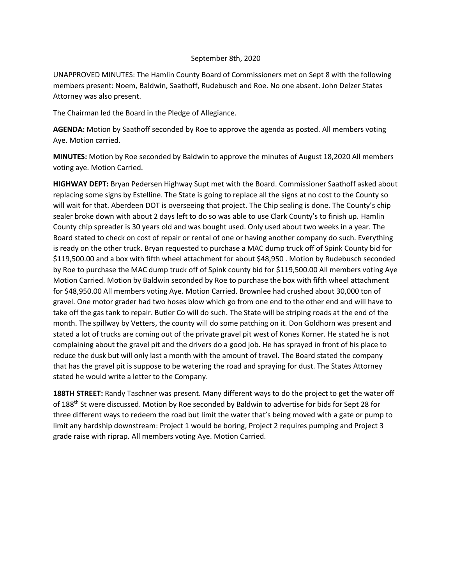## September 8th, 2020

UNAPPROVED MINUTES: The Hamlin County Board of Commissioners met on Sept 8 with the following members present: Noem, Baldwin, Saathoff, Rudebusch and Roe. No one absent. John Delzer States Attorney was also present.

The Chairman led the Board in the Pledge of Allegiance.

**AGENDA:** Motion by Saathoff seconded by Roe to approve the agenda as posted. All members voting Aye. Motion carried.

**MINUTES:** Motion by Roe seconded by Baldwin to approve the minutes of August 18,2020 All members voting aye. Motion Carried.

**HIGHWAY DEPT:** Bryan Pedersen Highway Supt met with the Board. Commissioner Saathoff asked about replacing some signs by Estelline. The State is going to replace all the signs at no cost to the County so will wait for that. Aberdeen DOT is overseeing that project. The Chip sealing is done. The County's chip sealer broke down with about 2 days left to do so was able to use Clark County's to finish up. Hamlin County chip spreader is 30 years old and was bought used. Only used about two weeks in a year. The Board stated to check on cost of repair or rental of one or having another company do such. Everything is ready on the other truck. Bryan requested to purchase a MAC dump truck off of Spink County bid for \$119,500.00 and a box with fifth wheel attachment for about \$48,950 . Motion by Rudebusch seconded by Roe to purchase the MAC dump truck off of Spink county bid for \$119,500.00 All members voting Aye Motion Carried. Motion by Baldwin seconded by Roe to purchase the box with fifth wheel attachment for \$48,950.00 All members voting Aye. Motion Carried. Brownlee had crushed about 30,000 ton of gravel. One motor grader had two hoses blow which go from one end to the other end and will have to take off the gas tank to repair. Butler Co will do such. The State will be striping roads at the end of the month. The spillway by Vetters, the county will do some patching on it. Don Goldhorn was present and stated a lot of trucks are coming out of the private gravel pit west of Kones Korner. He stated he is not complaining about the gravel pit and the drivers do a good job. He has sprayed in front of his place to reduce the dusk but will only last a month with the amount of travel. The Board stated the company that has the gravel pit is suppose to be watering the road and spraying for dust. The States Attorney stated he would write a letter to the Company.

**188TH STREET:** Randy Taschner was present. Many different ways to do the project to get the water off of 188<sup>th</sup> St were discussed. Motion by Roe seconded by Baldwin to advertise for bids for Sept 28 for three different ways to redeem the road but limit the water that's being moved with a gate or pump to limit any hardship downstream: Project 1 would be boring, Project 2 requires pumping and Project 3 grade raise with riprap. All members voting Aye. Motion Carried.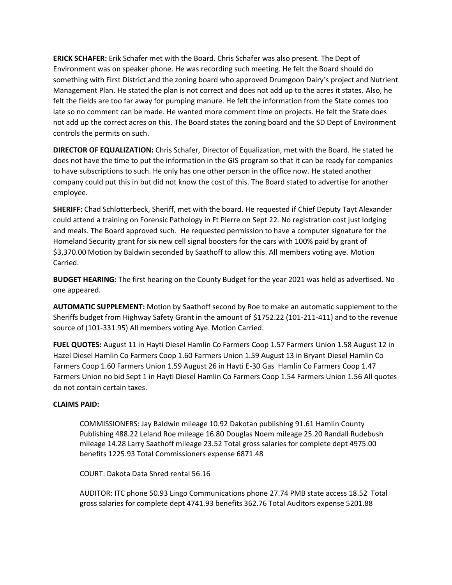**ERICK SCHAFER:** Erik Schafer met with the Board. Chris Schafer was also present. The Dept of Environment was on speaker phone. He was recording such meeting. He felt the Board should do something with First District and the zoning board who approved Drumgoon Dairy's project and Nutrient Management Plan. He stated the plan is not correct and does not add up to the acres it states. Also, he felt the fields are too far away for pumping manure. He felt the information from the State comes too late so no comment can be made. He wanted more comment time on projects. He felt the State does not add up the correct acres on this. The Board states the zoning board and the SD Dept of Environment controls the permits on such.

**DIRECTOR OF EQUALIZATION:** Chris Schafer, Director of Equalization, met with the Board. He stated he does not have the time to put the information in the GIS program so that it can be ready for companies to have subscriptions to such. He only has one other person in the office now. He stated another company could put this in but did not know the cost of this. The Board stated to advertise for another employee.

**SHERIFF:** Chad Schlotterbeck, Sheriff, met with the board. He requested if Chief Deputy Tayt Alexander could attend a training on Forensic Pathology in Ft Pierre on Sept 22. No registration cost just lodging and meals. The Board approved such. He requested permission to have a computer signature for the Homeland Security grant for six new cell signal boosters for the cars with 100% paid by grant of \$3,370.00 Motion by Baldwin seconded by Saathoff to allow this. All members voting aye. Motion Carried.

**BUDGET HEARING:** The first hearing on the County Budget for the year 2021 was held as advertised. No one appeared.

**AUTOMATIC SUPPLEMENT:** Motion by Saathoff second by Roe to make an automatic supplement to the Sheriffs budget from Highway Safety Grant in the amount of \$1752.22 (101-211-411) and to the revenue source of (101-331.95) All members voting Aye. Motion Carried.

**FUEL QUOTES:** August 11 in Hayti Diesel Hamlin Co Farmers Coop 1.57 Farmers Union 1.58 August 12 in Hazel Diesel Hamlin Co Farmers Coop 1.60 Farmers Union 1.59 August 13 in Bryant Diesel Hamlin Co Farmers Coop 1.60 Farmers Union 1.59 August 26 in Hayti E-30 Gas Hamlin Co Farmers Coop 1.47 Farmers Union no bid Sept 1 in Hayti Diesel Hamlin Co Farmers Coop 1.54 Farmers Union 1.56 All quotes do not contain certain taxes.

## **CLAIMS PAID:**

COMMISSIONERS: Jay Baldwin mileage 10.92 Dakotan publishing 91.61 Hamlin County Publishing 488.22 Leland Roe mileage 16.80 Douglas Noem mileage 25.20 Randall Rudebush mileage 14.28 Larry Saathoff mileage 23.52 Total gross salaries for complete dept 4975.00 benefits 1225.93 Total Commissioners expense 6871.48

COURT: Dakota Data Shred rental 56.16

AUDITOR: ITC phone 50.93 Lingo Communications phone 27.74 PMB state access 18.52 Total gross salaries for complete dept 4741.93 benefits 362.76 Total Auditors expense 5201.88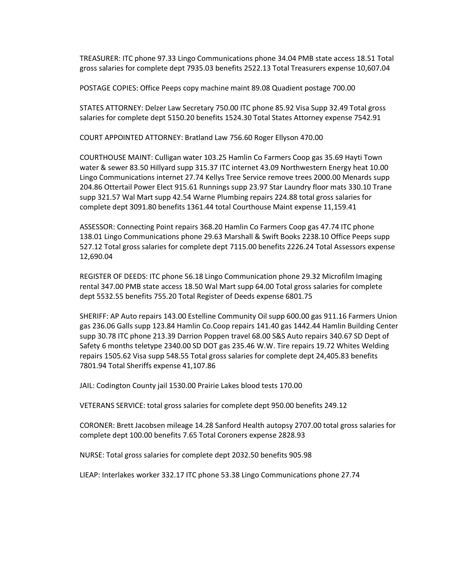TREASURER: ITC phone 97.33 Lingo Communications phone 34.04 PMB state access 18.51 Total gross salaries for complete dept 7935.03 benefits 2522.13 Total Treasurers expense 10,607.04

POSTAGE COPIES: Office Peeps copy machine maint 89.08 Quadient postage 700.00

STATES ATTORNEY: Delzer Law Secretary 750.00 ITC phone 85.92 Visa Supp 32.49 Total gross salaries for complete dept 5150.20 benefits 1524.30 Total States Attorney expense 7542.91

COURT APPOINTED ATTORNEY: Bratland Law 756.60 Roger Ellyson 470.00

COURTHOUSE MAINT: Culligan water 103.25 Hamlin Co Farmers Coop gas 35.69 Hayti Town water & sewer 83.50 Hillyard supp 315.37 ITC internet 43.09 Northwestern Energy heat 10.00 Lingo Communications internet 27.74 Kellys Tree Service remove trees 2000.00 Menards supp 204.86 Ottertail Power Elect 915.61 Runnings supp 23.97 Star Laundry floor mats 330.10 Trane supp 321.57 Wal Mart supp 42.54 Warne Plumbing repairs 224.88 total gross salaries for complete dept 3091.80 benefits 1361.44 total Courthouse Maint expense 11,159.41

ASSESSOR: Connecting Point repairs 368.20 Hamlin Co Farmers Coop gas 47.74 ITC phone 138.01 Lingo Communications phone 29.63 Marshall & Swift Books 2238.10 Office Peeps supp 527.12 Total gross salaries for complete dept 7115.00 benefits 2226.24 Total Assessors expense 12,690.04

REGISTER OF DEEDS: ITC phone 56.18 Lingo Communication phone 29.32 Microfilm Imaging rental 347.00 PMB state access 18.50 Wal Mart supp 64.00 Total gross salaries for complete dept 5532.55 benefits 755.20 Total Register of Deeds expense 6801.75

SHERIFF: AP Auto repairs 143.00 Estelline Community Oil supp 600.00 gas 911.16 Farmers Union gas 236.06 Galls supp 123.84 Hamlin Co.Coop repairs 141.40 gas 1442.44 Hamlin Building Center supp 30.78 ITC phone 213.39 Darrion Poppen travel 68.00 S&S Auto repairs 340.67 SD Dept of Safety 6 months teletype 2340.00 SD DOT gas 235.46 W.W. Tire repairs 19.72 Whites Welding repairs 1505.62 Visa supp 548.55 Total gross salaries for complete dept 24,405.83 benefits 7801.94 Total Sheriffs expense 41,107.86

JAIL: Codington County jail 1530.00 Prairie Lakes blood tests 170.00

VETERANS SERVICE: total gross salaries for complete dept 950.00 benefits 249.12

CORONER: Brett Jacobsen mileage 14.28 Sanford Health autopsy 2707.00 total gross salaries for complete dept 100.00 benefits 7.65 Total Coroners expense 2828.93

NURSE: Total gross salaries for complete dept 2032.50 benefits 905.98

LIEAP: Interlakes worker 332.17 ITC phone 53.38 Lingo Communications phone 27.74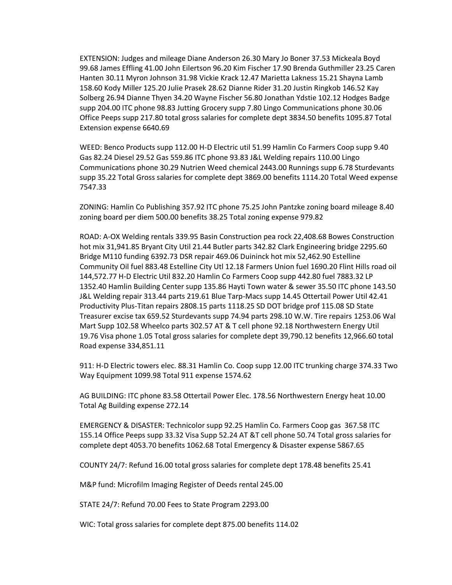EXTENSION: Judges and mileage Diane Anderson 26.30 Mary Jo Boner 37.53 Mickeala Boyd 99.68 James Effling 41.00 John Eilertson 96.20 Kim Fischer 17.90 Brenda Guthmiller 23.25 Caren Hanten 30.11 Myron Johnson 31.98 Vickie Krack 12.47 Marietta Lakness 15.21 Shayna Lamb 158.60 Kody Miller 125.20 Julie Prasek 28.62 Dianne Rider 31.20 Justin Ringkob 146.52 Kay Solberg 26.94 Dianne Thyen 34.20 Wayne Fischer 56.80 Jonathan Ydstie 102.12 Hodges Badge supp 204.00 ITC phone 98.83 Jutting Grocery supp 7.80 Lingo Communications phone 30.06 Office Peeps supp 217.80 total gross salaries for complete dept 3834.50 benefits 1095.87 Total Extension expense 6640.69

WEED: Benco Products supp 112.00 H-D Electric util 51.99 Hamlin Co Farmers Coop supp 9.40 Gas 82.24 Diesel 29.52 Gas 559.86 ITC phone 93.83 J&L Welding repairs 110.00 Lingo Communications phone 30.29 Nutrien Weed chemical 2443.00 Runnings supp 6.78 Sturdevants supp 35.22 Total Gross salaries for complete dept 3869.00 benefits 1114.20 Total Weed expense 7547.33

ZONING: Hamlin Co Publishing 357.92 ITC phone 75.25 John Pantzke zoning board mileage 8.40 zoning board per diem 500.00 benefits 38.25 Total zoning expense 979.82

ROAD: A-OX Welding rentals 339.95 Basin Construction pea rock 22,408.68 Bowes Construction hot mix 31,941.85 Bryant City Util 21.44 Butler parts 342.82 Clark Engineering bridge 2295.60 Bridge M110 funding 6392.73 DSR repair 469.06 Duininck hot mix 52,462.90 Estelline Community Oil fuel 883.48 Estelline City Utl 12.18 Farmers Union fuel 1690.20 Flint Hills road oil 144,572.77 H-D Electric Util 832.20 Hamlin Co Farmers Coop supp 442.80 fuel 7883.32 LP 1352.40 Hamlin Building Center supp 135.86 Hayti Town water & sewer 35.50 ITC phone 143.50 J&L Welding repair 313.44 parts 219.61 Blue Tarp-Macs supp 14.45 Ottertail Power Util 42.41 Productivity Plus-Titan repairs 2808.15 parts 1118.25 SD DOT bridge prof 115.08 SD State Treasurer excise tax 659.52 Sturdevants supp 74.94 parts 298.10 W.W. Tire repairs 1253.06 Wal Mart Supp 102.58 Wheelco parts 302.57 AT & T cell phone 92.18 Northwestern Energy Util 19.76 Visa phone 1.05 Total gross salaries for complete dept 39,790.12 benefits 12,966.60 total Road expense 334,851.11

911: H-D Electric towers elec. 88.31 Hamlin Co. Coop supp 12.00 ITC trunking charge 374.33 Two Way Equipment 1099.98 Total 911 expense 1574.62

AG BUILDING: ITC phone 83.58 Ottertail Power Elec. 178.56 Northwestern Energy heat 10.00 Total Ag Building expense 272.14

EMERGENCY & DISASTER: Technicolor supp 92.25 Hamlin Co. Farmers Coop gas 367.58 ITC 155.14 Office Peeps supp 33.32 Visa Supp 52.24 AT &T cell phone 50.74 Total gross salaries for complete dept 4053.70 benefits 1062.68 Total Emergency & Disaster expense 5867.65

COUNTY 24/7: Refund 16.00 total gross salaries for complete dept 178.48 benefits 25.41

M&P fund: Microfilm Imaging Register of Deeds rental 245.00

STATE 24/7: Refund 70.00 Fees to State Program 2293.00

WIC: Total gross salaries for complete dept 875.00 benefits 114.02